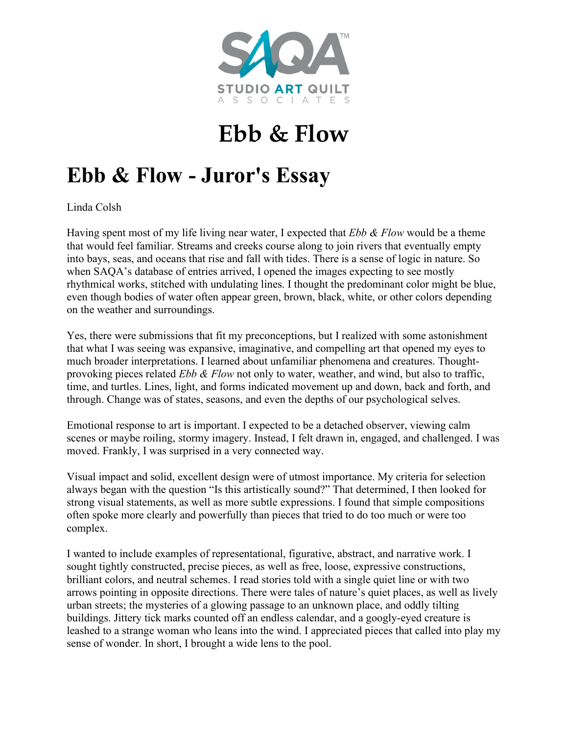

## **Ebb & Flow**

## **Ebb & Flow - Juror's Essay**

Linda Colsh

Having spent most of my life living near water, I expected that *Ebb & Flow* would be a theme that would feel familiar. Streams and creeks course along to join rivers that eventually empty into bays, seas, and oceans that rise and fall with tides. There is a sense of logic in nature. So when SAQA's database of entries arrived, I opened the images expecting to see mostly rhythmical works, stitched with undulating lines. I thought the predominant color might be blue, even though bodies of water often appear green, brown, black, white, or other colors depending on the weather and surroundings.

Yes, there were submissions that fit my preconceptions, but I realized with some astonishment that what I was seeing was expansive, imaginative, and compelling art that opened my eyes to much broader interpretations. I learned about unfamiliar phenomena and creatures. Thoughtprovoking pieces related *Ebb & Flow* not only to water, weather, and wind, but also to traffic, time, and turtles. Lines, light, and forms indicated movement up and down, back and forth, and through. Change was of states, seasons, and even the depths of our psychological selves.

Emotional response to art is important. I expected to be a detached observer, viewing calm scenes or maybe roiling, stormy imagery. Instead, I felt drawn in, engaged, and challenged. I was moved. Frankly, I was surprised in a very connected way.

Visual impact and solid, excellent design were of utmost importance. My criteria for selection always began with the question "Is this artistically sound?" That determined, I then looked for strong visual statements, as well as more subtle expressions. I found that simple compositions often spoke more clearly and powerfully than pieces that tried to do too much or were too complex.

I wanted to include examples of representational, figurative, abstract, and narrative work. I sought tightly constructed, precise pieces, as well as free, loose, expressive constructions, brilliant colors, and neutral schemes. I read stories told with a single quiet line or with two arrows pointing in opposite directions. There were tales of nature's quiet places, as well as lively urban streets; the mysteries of a glowing passage to an unknown place, and oddly tilting buildings. Jittery tick marks counted off an endless calendar, and a googly-eyed creature is leashed to a strange woman who leans into the wind. I appreciated pieces that called into play my sense of wonder. In short, I brought a wide lens to the pool.